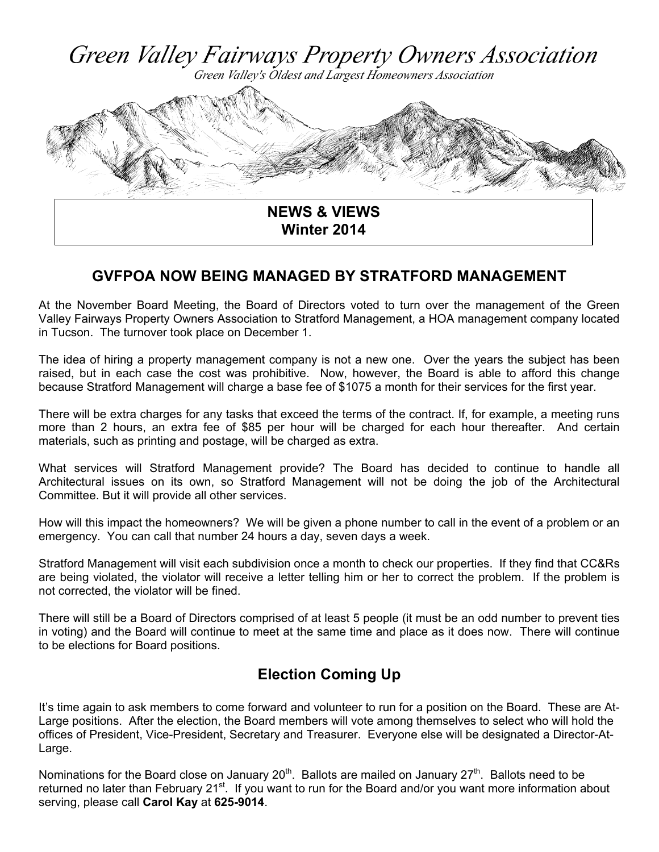

## **GVFPOA NOW BEING MANAGED BY STRATFORD MANAGEMENT**

At the November Board Meeting, the Board of Directors voted to turn over the management of the Green Valley Fairways Property Owners Association to Stratford Management, a HOA management company located in Tucson. The turnover took place on December 1.

The idea of hiring a property management company is not a new one. Over the years the subject has been raised, but in each case the cost was prohibitive. Now, however, the Board is able to afford this change because Stratford Management will charge a base fee of \$1075 a month for their services for the first year.

There will be extra charges for any tasks that exceed the terms of the contract. If, for example, a meeting runs more than 2 hours, an extra fee of \$85 per hour will be charged for each hour thereafter. And certain materials, such as printing and postage, will be charged as extra.

What services will Stratford Management provide? The Board has decided to continue to handle all Architectural issues on its own, so Stratford Management will not be doing the job of the Architectural Committee. But it will provide all other services.

How will this impact the homeowners? We will be given a phone number to call in the event of a problem or an emergency. You can call that number 24 hours a day, seven days a week.

Stratford Management will visit each subdivision once a month to check our properties. If they find that CC&Rs are being violated, the violator will receive a letter telling him or her to correct the problem. If the problem is not corrected, the violator will be fined.

There will still be a Board of Directors comprised of at least 5 people (it must be an odd number to prevent ties in voting) and the Board will continue to meet at the same time and place as it does now. There will continue to be elections for Board positions.

# **Election Coming Up**

It's time again to ask members to come forward and volunteer to run for a position on the Board. These are At-Large positions. After the election, the Board members will vote among themselves to select who will hold the offices of President, Vice-President, Secretary and Treasurer. Everyone else will be designated a Director-At-Large.

Nominations for the Board close on January 20<sup>th</sup>. Ballots are mailed on January  $27<sup>th</sup>$ . Ballots need to be returned no later than February 21<sup>st</sup>. If you want to run for the Board and/or you want more information about serving, please call **Carol Kay** at **625-9014**.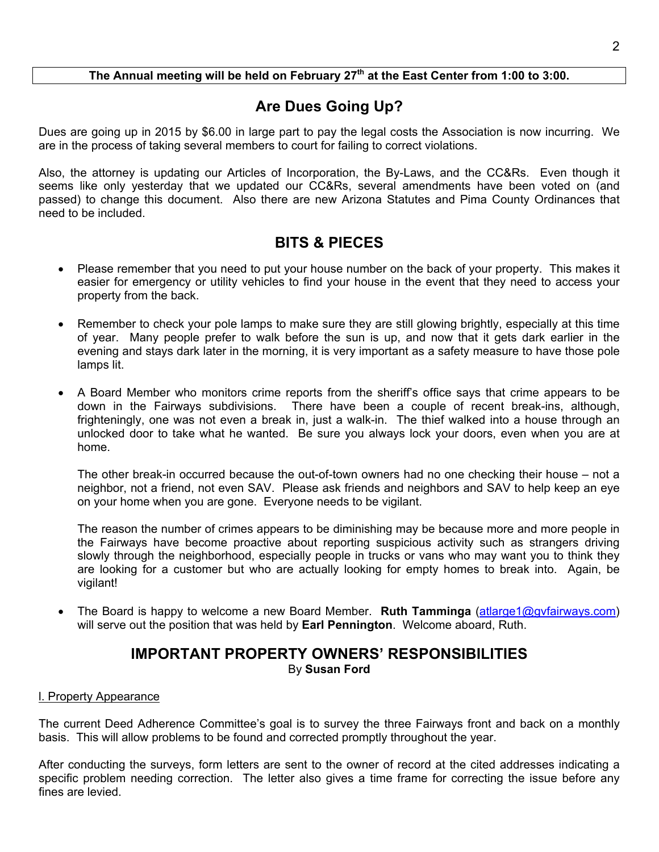### The Annual meeting will be held on February 27<sup>th</sup> at the East Center from 1:00 to 3:00.

# **Are Dues Going Up?**

Dues are going up in 2015 by \$6.00 in large part to pay the legal costs the Association is now incurring. We are in the process of taking several members to court for failing to correct violations.

Also, the attorney is updating our Articles of Incorporation, the By-Laws, and the CC&Rs. Even though it seems like only yesterday that we updated our CC&Rs, several amendments have been voted on (and passed) to change this document. Also there are new Arizona Statutes and Pima County Ordinances that need to be included.

# **BITS & PIECES**

- Please remember that you need to put your house number on the back of your property. This makes it easier for emergency or utility vehicles to find your house in the event that they need to access your property from the back.
- Remember to check your pole lamps to make sure they are still glowing brightly, especially at this time of year. Many people prefer to walk before the sun is up, and now that it gets dark earlier in the evening and stays dark later in the morning, it is very important as a safety measure to have those pole lamps lit.
- A Board Member who monitors crime reports from the sheriff's office says that crime appears to be down in the Fairways subdivisions. There have been a couple of recent break-ins, although, frighteningly, one was not even a break in, just a walk-in. The thief walked into a house through an unlocked door to take what he wanted. Be sure you always lock your doors, even when you are at home.

The other break-in occurred because the out-of-town owners had no one checking their house – not a neighbor, not a friend, not even SAV. Please ask friends and neighbors and SAV to help keep an eye on your home when you are gone. Everyone needs to be vigilant.

The reason the number of crimes appears to be diminishing may be because more and more people in the Fairways have become proactive about reporting suspicious activity such as strangers driving slowly through the neighborhood, especially people in trucks or vans who may want you to think they are looking for a customer but who are actually looking for empty homes to break into. Again, be vigilant!

 The Board is happy to welcome a new Board Member. **Ruth Tamminga** (atlarge1@gvfairways.com) will serve out the position that was held by **Earl Pennington**. Welcome aboard, Ruth.

### **IMPORTANT PROPERTY OWNERS' RESPONSIBILITIES**  By **Susan Ford**

#### l. Property Appearance

The current Deed Adherence Committee's goal is to survey the three Fairways front and back on a monthly basis. This will allow problems to be found and corrected promptly throughout the year.

After conducting the surveys, form letters are sent to the owner of record at the cited addresses indicating a specific problem needing correction. The letter also gives a time frame for correcting the issue before any fines are levied.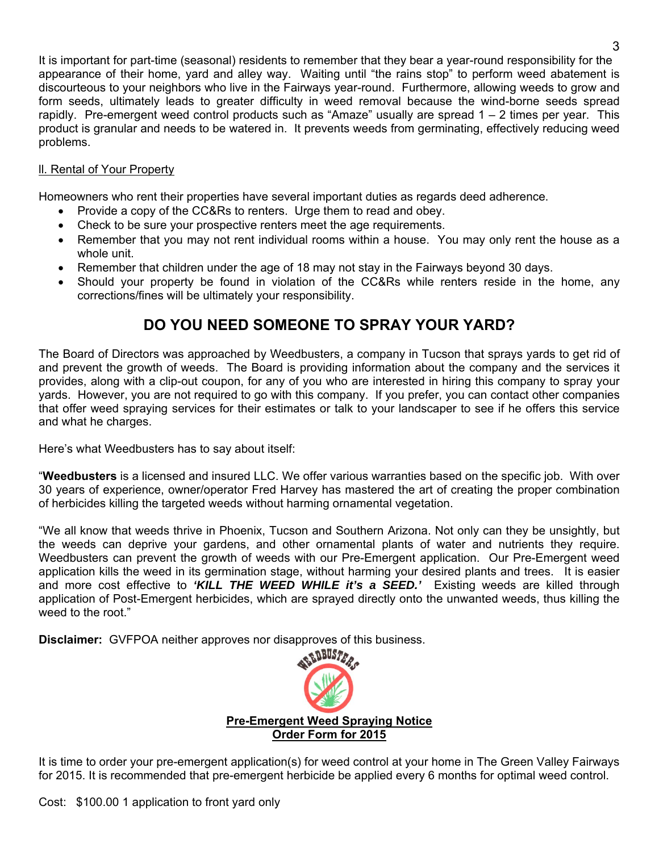It is important for part-time (seasonal) residents to remember that they bear a year-round responsibility for the appearance of their home, yard and alley way. Waiting until "the rains stop" to perform weed abatement is discourteous to your neighbors who live in the Fairways year-round. Furthermore, allowing weeds to grow and form seeds, ultimately leads to greater difficulty in weed removal because the wind-borne seeds spread rapidly. Pre-emergent weed control products such as "Amaze" usually are spread 1 – 2 times per year. This product is granular and needs to be watered in. It prevents weeds from germinating, effectively reducing weed problems.

#### ll. Rental of Your Property

Homeowners who rent their properties have several important duties as regards deed adherence.

- Provide a copy of the CC&Rs to renters. Urge them to read and obey.
- Check to be sure your prospective renters meet the age requirements.
- Remember that you may not rent individual rooms within a house. You may only rent the house as a whole unit.
- Remember that children under the age of 18 may not stay in the Fairways beyond 30 days.
- Should your property be found in violation of the CC&Rs while renters reside in the home, any corrections/fines will be ultimately your responsibility.

# **DO YOU NEED SOMEONE TO SPRAY YOUR YARD?**

The Board of Directors was approached by Weedbusters, a company in Tucson that sprays yards to get rid of and prevent the growth of weeds. The Board is providing information about the company and the services it provides, along with a clip-out coupon, for any of you who are interested in hiring this company to spray your yards. However, you are not required to go with this company. If you prefer, you can contact other companies that offer weed spraying services for their estimates or talk to your landscaper to see if he offers this service and what he charges.

Here's what Weedbusters has to say about itself:

"**Weedbusters** is a licensed and insured LLC. We offer various warranties based on the specific job. With over 30 years of experience, owner/operator Fred Harvey has mastered the art of creating the proper combination of herbicides killing the targeted weeds without harming ornamental vegetation.

"We all know that weeds thrive in Phoenix, Tucson and Southern Arizona. Not only can they be unsightly, but the weeds can deprive your gardens, and other ornamental plants of water and nutrients they require. Weedbusters can prevent the growth of weeds with our Pre-Emergent application. Our Pre-Emergent weed application kills the weed in its germination stage, without harming your desired plants and trees. It is easier and more cost effective to *'KILL THE WEED WHILE it's a SEED.'* Existing weeds are killed through application of Post-Emergent herbicides, which are sprayed directly onto the unwanted weeds, thus killing the weed to the root."

**Disclaimer:** GVFPOA neither approves nor disapproves of this business.



It is time to order your pre-emergent application(s) for weed control at your home in The Green Valley Fairways for 2015. It is recommended that pre-emergent herbicide be applied every 6 months for optimal weed control.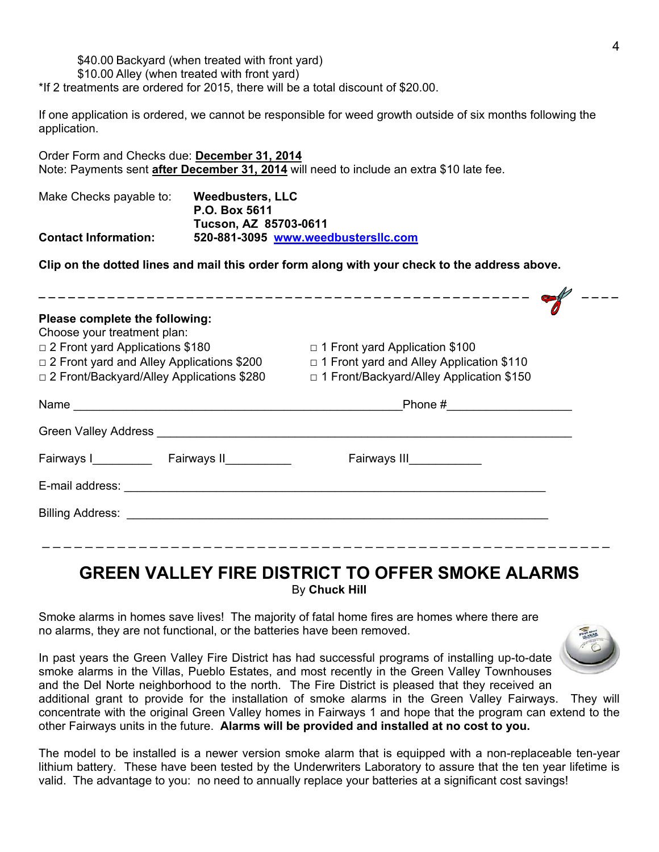#### \$40.00 Backyard (when treated with front yard)

\$10.00 Alley (when treated with front yard)

\*If 2 treatments are ordered for 2015, there will be a total discount of \$20.00.

If one application is ordered, we cannot be responsible for weed growth outside of six months following the application.

Order Form and Checks due: **December 31, 2014** Note: Payments sent **after December 31, 2014** will need to include an extra \$10 late fee.

| Make Checks payable to:     | Weedbusters, LLC                    |
|-----------------------------|-------------------------------------|
|                             | P.O. Box 5611                       |
|                             | Tucson, AZ 85703-0611               |
| <b>Contact Information:</b> | 520-881-3095 www.weedbustersllc.com |

**Clip on the dotted lines and mail this order form along with your check to the address above.** 

| Please complete the following:<br>Choose your treatment plan:                                                                                                                                                                        |                                            |  |
|--------------------------------------------------------------------------------------------------------------------------------------------------------------------------------------------------------------------------------------|--------------------------------------------|--|
| □ 2 Front yard Applications \$180                                                                                                                                                                                                    | $\Box$ 1 Front yard Application \$100      |  |
| $\Box$ 2 Front yard and Alley Applications \$200                                                                                                                                                                                     | □ 1 Front yard and Alley Application \$110 |  |
| □ 2 Front/Backyard/Alley Applications \$280                                                                                                                                                                                          | □ 1 Front/Backyard/Alley Application \$150 |  |
|                                                                                                                                                                                                                                      | Phone # _____________________              |  |
| Green Valley Address <b>Contract Contract Contract Contract Contract Contract Contract Contract Contract Contract Contract Contract Contract Contract Contract Contract Contract Contract Contract Contract Contract Contract Co</b> |                                            |  |
| Fairways I Fairways II                                                                                                                                                                                                               | Fairways III___________                    |  |
|                                                                                                                                                                                                                                      |                                            |  |
|                                                                                                                                                                                                                                      |                                            |  |
|                                                                                                                                                                                                                                      |                                            |  |
|                                                                                                                                                                                                                                      |                                            |  |

## **GREEN VALLEY FIRE DISTRICT TO OFFER SMOKE ALARMS** By **Chuck Hill**

Smoke alarms in homes save lives! The majority of fatal home fires are homes where there are no alarms, they are not functional, or the batteries have been removed.

In past years the Green Valley Fire District has had successful programs of installing up-to-date smoke alarms in the Villas, Pueblo Estates, and most recently in the Green Valley Townhouses and the Del Norte neighborhood to the north. The Fire District is pleased that they received an additional grant to provide for the installation of smoke alarms in the Green Valley Fairways. They will

concentrate with the original Green Valley homes in Fairways 1 and hope that the program can extend to the other Fairways units in the future. **Alarms will be provided and installed at no cost to you.** 

The model to be installed is a newer version smoke alarm that is equipped with a non-replaceable ten-year lithium battery. These have been tested by the Underwriters Laboratory to assure that the ten year lifetime is valid. The advantage to you: no need to annually replace your batteries at a significant cost savings!

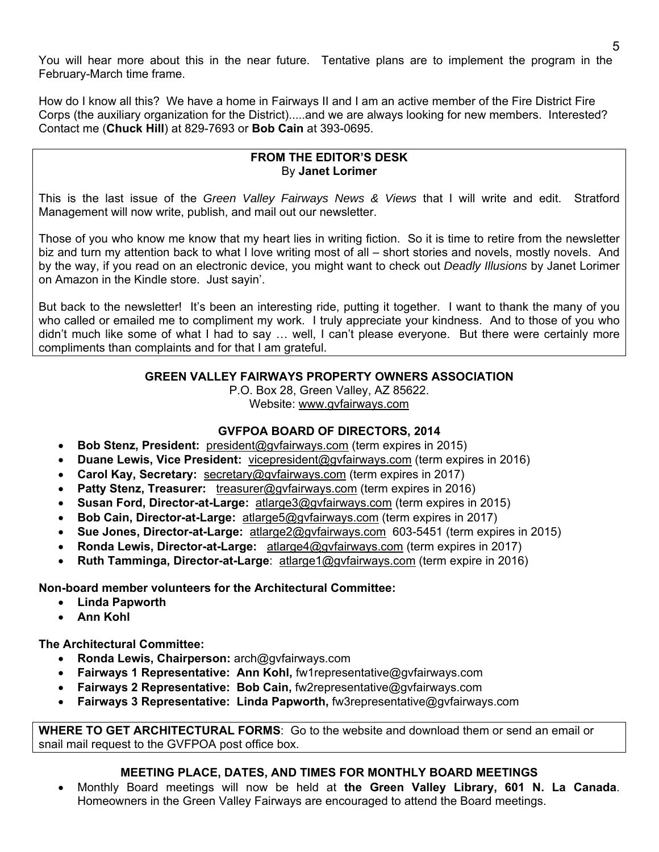You will hear more about this in the near future. Tentative plans are to implement the program in the February-March time frame.

How do I know all this? We have a home in Fairways II and I am an active member of the Fire District Fire Corps (the auxiliary organization for the District).....and we are always looking for new members. Interested? Contact me (**Chuck Hill**) at 829-7693 or **Bob Cain** at 393-0695.

#### **FROM THE EDITOR'S DESK**  By **Janet Lorimer**

This is the last issue of the *Green Valley Fairways News & Views* that I will write and edit. Stratford Management will now write, publish, and mail out our newsletter.

Those of you who know me know that my heart lies in writing fiction. So it is time to retire from the newsletter biz and turn my attention back to what I love writing most of all – short stories and novels, mostly novels. And by the way, if you read on an electronic device, you might want to check out *Deadly Illusions* by Janet Lorimer on Amazon in the Kindle store. Just sayin'.

But back to the newsletter! It's been an interesting ride, putting it together. I want to thank the many of you who called or emailed me to compliment my work. I truly appreciate your kindness. And to those of you who didn't much like some of what I had to say … well, I can't please everyone. But there were certainly more compliments than complaints and for that I am grateful.

#### **GREEN VALLEY FAIRWAYS PROPERTY OWNERS ASSOCIATION**

P.O. Box 28, Green Valley, AZ 85622. Website: www.gvfairways.com

#### **GVFPOA BOARD OF DIRECTORS, 2014**

- **Bob Stenz, President:** president@gvfairways.com (term expires in 2015)
- **Duane Lewis, Vice President:** vicepresident@gvfairways.com (term expires in 2016)
- **Carol Kay, Secretary:** secretary@gvfairways.com (term expires in 2017)
- **Patty Stenz, Treasurer:** treasurer@gvfairways.com (term expires in 2016)
- **Susan Ford, Director-at-Large:** atlarge3@gvfairways.com (term expires in 2015)
- **Bob Cain, Director-at-Large:** atlarge5@gvfairways.com (term expires in 2017)
- **Sue Jones, Director-at-Large:** atlarge2@gvfairways.com 603-5451 (term expires in 2015)
- **Ronda Lewis, Director-at-Large:** atlarge4@gvfairways.com (term expires in 2017)
- **Ruth Tamminga, Director-at-Large**: atlarge1@gvfairways.com (term expire in 2016)

**Non-board member volunteers for the Architectural Committee:** 

- **Linda Papworth**
- **Ann Kohl**

**The Architectural Committee:** 

- **Ronda Lewis, Chairperson:** arch@gvfairways.com
- **Fairways 1 Representative: Ann Kohl,** fw1representative@gvfairways.com
- **Fairways 2 Representative: Bob Cain,** fw2representative@gvfairways.com
- **Fairways 3 Representative: Linda Papworth,** fw3representative@gvfairways.com

**WHERE TO GET ARCHITECTURAL FORMS**: Go to the website and download them or send an email or snail mail request to the GVFPOA post office box.

### **MEETING PLACE, DATES, AND TIMES FOR MONTHLY BOARD MEETINGS**

 Monthly Board meetings will now be held at **the Green Valley Library, 601 N. La Canada**. Homeowners in the Green Valley Fairways are encouraged to attend the Board meetings.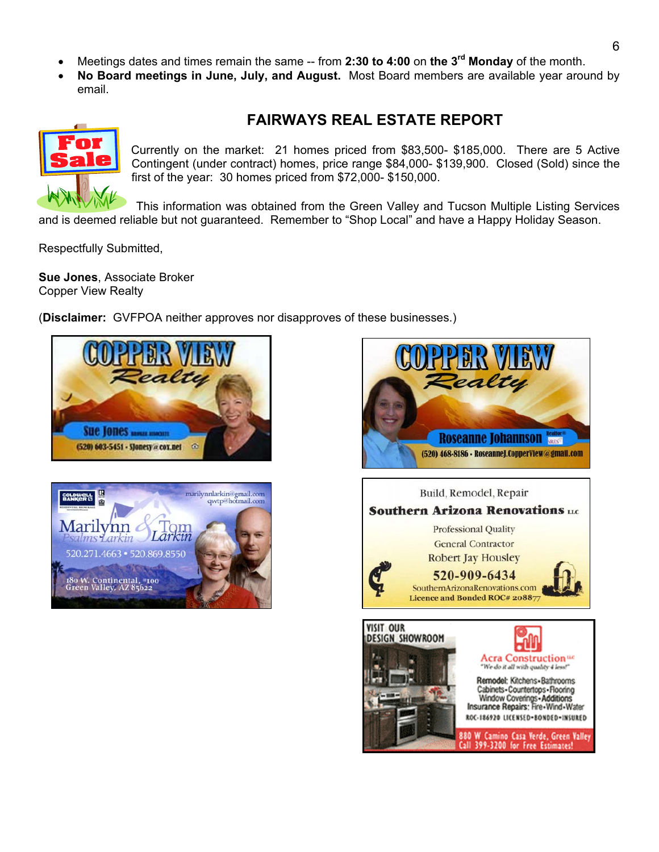- Meetings dates and times remain the same -- from **2:30 to 4:00** on **the 3rd Monday** of the month.
- **No Board meetings in June, July, and August.** Most Board members are available year around by email.

# **FAIRWAYS REAL ESTATE REPORT**



Currently on the market: 21 homes priced from \$83,500- \$185,000. There are 5 Active Contingent (under contract) homes, price range \$84,000- \$139,900. Closed (Sold) since the first of the year: 30 homes priced from \$72,000- \$150,000.

This information was obtained from the Green Valley and Tucson Multiple Listing Services and is deemed reliable but not guaranteed. Remember to "Shop Local" and have a Happy Holiday Season.

Respectfully Submitted,

**Sue Jones**, Associate Broker Copper View Realty

(**Disclaimer:** GVFPOA neither approves nor disapproves of these businesses.)





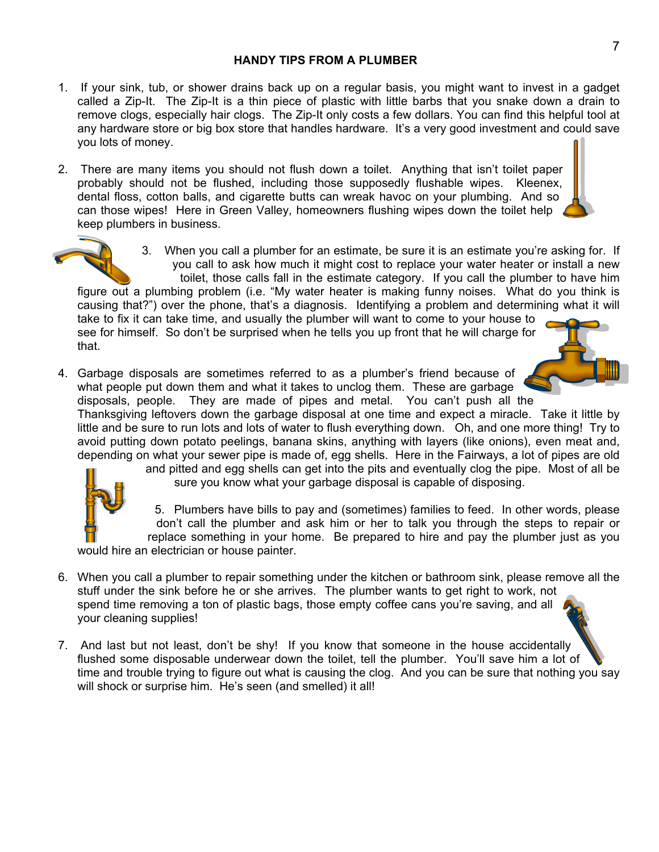- 1. If your sink, tub, or shower drains back up on a regular basis, you might want to invest in a gadget called a Zip-It. The Zip-It is a thin piece of plastic with little barbs that you snake down a drain to remove clogs, especially hair clogs. The Zip-It only costs a few dollars. You can find this helpful tool at any hardware store or big box store that handles hardware. It's a very good investment and could save you lots of money.
- 2. There are many items you should not flush down a toilet. Anything that isn't toilet paper probably should not be flushed, including those supposedly flushable wipes. Kleenex, dental floss, cotton balls, and cigarette butts can wreak havoc on your plumbing. And so can those wipes! Here in Green Valley, homeowners flushing wipes down the toilet help keep plumbers in business.



3. When you call a plumber for an estimate, be sure it is an estimate you're asking for. If you call to ask how much it might cost to replace your water heater or install a new toilet, those calls fall in the estimate category. If you call the plumber to have him figure out a plumbing problem (i.e. "My water heater is making funny noises. What do you think is causing that?") over the phone, that's a diagnosis. Identifying a problem and determining what it will take to fix it can take time, and usually the plumber will want to come to your house to

see for himself. So don't be surprised when he tells you up front that he will charge for that.

4. Garbage disposals are sometimes referred to as a plumber's friend because of what people put down them and what it takes to unclog them. These are garbage disposals, people. They are made of pipes and metal. You can't push all the

Thanksgiving leftovers down the garbage disposal at one time and expect a miracle. Take it little by little and be sure to run lots and lots of water to flush everything down. Oh, and one more thing! Try to avoid putting down potato peelings, banana skins, anything with layers (like onions), even meat and, depending on what your sewer pipe is made of, egg shells. Here in the Fairways, a lot of pipes are old



and pitted and egg shells can get into the pits and eventually clog the pipe. Most of all be sure you know what your garbage disposal is capable of disposing.

5. Plumbers have bills to pay and (sometimes) families to feed. In other words, please don't call the plumber and ask him or her to talk you through the steps to repair or replace something in your home. Be prepared to hire and pay the plumber just as you

would hire an electrician or house painter.

- 6. When you call a plumber to repair something under the kitchen or bathroom sink, please remove all the stuff under the sink before he or she arrives. The plumber wants to get right to work, not spend time removing a ton of plastic bags, those empty coffee cans you're saving, and all your cleaning supplies!
- 7. And last but not least, don't be shy! If you know that someone in the house accidentally flushed some disposable underwear down the toilet, tell the plumber. You'll save him a lot of time and trouble trying to figure out what is causing the clog. And you can be sure that nothing you say will shock or surprise him. He's seen (and smelled) it all!